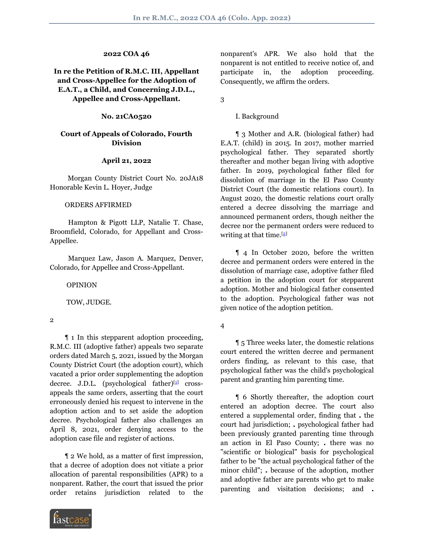# **2022 COA 46**

# **In re the Petition of R.M.C. III, Appellant and Cross-Appellee for the Adoption of E.A.T., a Child, and Concerning J.D.L., Appellee and Cross-Appellant.**

### **No. 21CA0520**

## **Court of Appeals of Colorado, Fourth Division**

## **April 21, 2022**

 Morgan County District Court No. 20JA18 Honorable Kevin L. Hoyer, Judge

### ORDERS AFFIRMED

 Hampton & Pigott LLP, Natalie T. Chase, Broomfield, Colorado, for Appellant and Cross-Appellee.

 Marquez Law, Jason A. Marquez, Denver, Colorado, for Appellee and Cross-Appellant.

OPINION

TOW, JUDGE.

2

 ¶ 1 In this stepparent adoption proceeding, R.M.C. III (adoptive father) appeals two separate orders dated March 5, 2021, issued by the Morgan County District Court (the adoption court), which vacated a prior order supplementing the adoption decree. J.D.L. (psychological father)[[1\]](#page-5-0) crossappeals the same orders, asserting that the court erroneously denied his request to intervene in the adoption action and to set aside the adoption decree. Psychological father also challenges an April 8, 2021, order denying access to the adoption case file and register of actions.

 ¶ 2 We hold, as a matter of first impression, that a decree of adoption does not vitiate a prior allocation of parental responsibilities (APR) to a nonparent. Rather, the court that issued the prior order retains jurisdiction related to the



nonparent's APR. We also hold that the nonparent is not entitled to receive notice of, and participate in, the adoption proceeding. Consequently, we affirm the orders.

3

I. Background

 ¶ 3 Mother and A.R. (biological father) had E.A.T. (child) in 2015. In 2017, mother married psychological father. They separated shortly thereafter and mother began living with adoptive father. In 2019, psychological father filed for dissolution of marriage in the El Paso County District Court (the domestic relations court). In August 2020, the domestic relations court orally entered a decree dissolving the marriage and announced permanent orders, though neither the decree nor the permanent orders were reduced to writing at that time.<sup>[[2\]](#page-6-0)</sup>

<span id="page-0-1"></span> ¶ 4 In October 2020, before the written decree and permanent orders were entered in the dissolution of marriage case, adoptive father filed a petition in the adoption court for stepparent adoption. Mother and biological father consented to the adoption. Psychological father was not given notice of the adoption petition.

 ¶ 5 Three weeks later, the domestic relations court entered the written decree and permanent orders finding, as relevant to this case, that psychological father was the child's psychological parent and granting him parenting time.

<span id="page-0-0"></span> ¶ 6 Shortly thereafter, the adoption court entered an adoption decree. The court also entered a supplemental order, finding that **.** the court had jurisdiction; **.** psychological father had been previously granted parenting time through an action in El Paso County; **.** there was no "scientific or biological" basis for psychological father to be "the actual psychological father of the minor child"; **.** because of the adoption, mother and adoptive father are parents who get to make parenting and visitation decisions; and **.**

<sup>4</sup>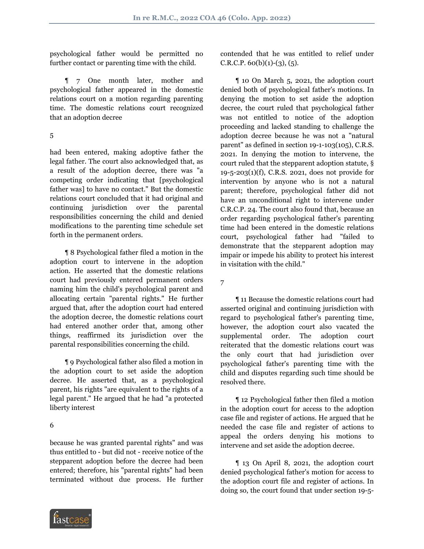psychological father would be permitted no further contact or parenting time with the child.

 ¶ 7 One month later, mother and psychological father appeared in the domestic relations court on a motion regarding parenting time. The domestic relations court recognized that an adoption decree

5

had been entered, making adoptive father the legal father. The court also acknowledged that, as a result of the adoption decree, there was "a competing order indicating that [psychological father was] to have no contact." But the domestic relations court concluded that it had original and continuing jurisdiction over the parental responsibilities concerning the child and denied modifications to the parenting time schedule set forth in the permanent orders.

 ¶ 8 Psychological father filed a motion in the adoption court to intervene in the adoption action. He asserted that the domestic relations court had previously entered permanent orders naming him the child's psychological parent and allocating certain "parental rights." He further argued that, after the adoption court had entered the adoption decree, the domestic relations court had entered another order that, among other things, reaffirmed its jurisdiction over the parental responsibilities concerning the child.

 ¶ 9 Psychological father also filed a motion in the adoption court to set aside the adoption decree. He asserted that, as a psychological parent, his rights "are equivalent to the rights of a legal parent." He argued that he had "a protected liberty interest

## 6

because he was granted parental rights" and was thus entitled to - but did not - receive notice of the stepparent adoption before the decree had been entered; therefore, his "parental rights" had been terminated without due process. He further



 ¶ 10 On March 5, 2021, the adoption court denied both of psychological father's motions. In denying the motion to set aside the adoption decree, the court ruled that psychological father was not entitled to notice of the adoption proceeding and lacked standing to challenge the adoption decree because he was not a "natural parent" as defined in section 19-1-103(105), C.R.S. 2021. In denying the motion to intervene, the court ruled that the stepparent adoption statute, § 19-5-203(1)(f), C.R.S. 2021, does not provide for intervention by anyone who is not a natural parent; therefore, psychological father did not have an unconditional right to intervene under C.R.C.P. 24. The court also found that, because an order regarding psychological father's parenting time had been entered in the domestic relations court, psychological father had "failed to demonstrate that the stepparent adoption may impair or impede his ability to protect his interest in visitation with the child."

7

 ¶ 11 Because the domestic relations court had asserted original and continuing jurisdiction with regard to psychological father's parenting time, however, the adoption court also vacated the supplemental order. The adoption court reiterated that the domestic relations court was the only court that had jurisdiction over psychological father's parenting time with the child and disputes regarding such time should be resolved there.

 ¶ 12 Psychological father then filed a motion in the adoption court for access to the adoption case file and register of actions. He argued that he needed the case file and register of actions to appeal the orders denying his motions to intervene and set aside the adoption decree.

 ¶ 13 On April 8, 2021, the adoption court denied psychological father's motion for access to the adoption court file and register of actions. In doing so, the court found that under section 19-5-

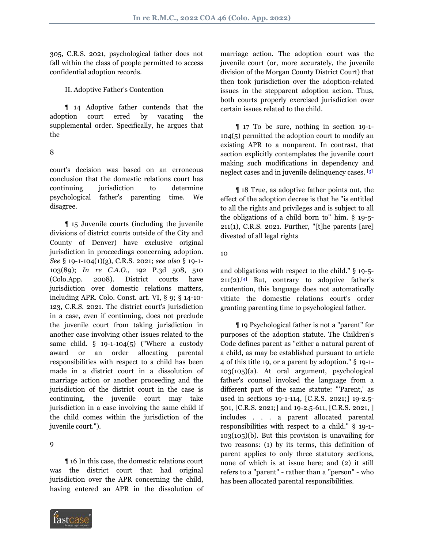305, C.R.S. 2021, psychological father does not fall within the class of people permitted to access confidential adoption records.

II. Adoptive Father's Contention

 ¶ 14 Adoptive father contends that the adoption court erred by vacating the supplemental order. Specifically, he argues that the

8

court's decision was based on an erroneous conclusion that the domestic relations court has continuing jurisdiction to determine psychological father's parenting time. We disagree.

 ¶ 15 Juvenile courts (including the juvenile divisions of district courts outside of the City and County of Denver) have exclusive original jurisdiction in proceedings concerning adoption. *See* § 19-1-104(1)(g), C.R.S. 2021; *see also* § 19-1- 103(89); *In re C.A.O.*, 192 P.3d 508, 510 (Colo.App. 2008). District courts have jurisdiction over domestic relations matters, including APR. Colo. Const. art. VI, § 9; § 14-10- 123, C.R.S. 2021. The district court's jurisdiction in a case, even if continuing, does not preclude the juvenile court from taking jurisdiction in another case involving other issues related to the same child.  $\S$  19-1-104(5) ("Where a custody award or an order allocating parental responsibilities with respect to a child has been made in a district court in a dissolution of marriage action or another proceeding and the jurisdiction of the district court in the case is continuing, the juvenile court may take jurisdiction in a case involving the same child if the child comes within the jurisdiction of the juvenile court.").

9

 ¶ 16 In this case, the domestic relations court was the district court that had original jurisdiction over the APR concerning the child, having entered an APR in the dissolution of



marriage action. The adoption court was the juvenile court (or, more accurately, the juvenile division of the Morgan County District Court) that then took jurisdiction over the adoption-related issues in the stepparent adoption action. Thus, both courts properly exercised jurisdiction over certain issues related to the child.

 ¶ 17 To be sure, nothing in section 19-1- 104(5) permitted the adoption court to modify an existing APR to a nonparent. In contrast, that section explicitly contemplates the juvenile court making such modifications in dependency and neglect cases and in juvenile delinquency cases. [[3](#page-6-1)]

<span id="page-2-0"></span> ¶ 18 True, as adoptive father points out, the effect of the adoption decree is that he "is entitled to all the rights and privileges and is subject to all the obligations of a child born to" him. § 19-5- 211(1), C.R.S. 2021. Further, "[t]he parents [are] divested of all legal rights

10

<span id="page-2-1"></span>and obligations with respect to the child." § 19-5-  $211(2).$ <sup>[[4\]](#page-6-2)</sup> But, contrary to adoptive father's contention, this language does not automatically vitiate the domestic relations court's order granting parenting time to psychological father.

 ¶ 19 Psychological father is not a "parent" for purposes of the adoption statute. The Children's Code defines parent as "either a natural parent of a child, as may be established pursuant to article 4 of this title 19, or a parent by adoption." § 19-1- 103(105)(a). At oral argument, psychological father's counsel invoked the language from a different part of the same statute: "'Parent,' as used in sections 19-1-114, [C.R.S. 2021;] 19-2.5- 501, [C.R.S. 2021;] and 19-2.5-611, [C.R.S. 2021, ] includes . . . a parent allocated parental responsibilities with respect to a child." § 19-1-  $103(105)(b)$ . But this provision is unavailing for two reasons: (1) by its terms, this definition of parent applies to only three statutory sections, none of which is at issue here; and (2) it still refers to a "parent" - rather than a "person" - who has been allocated parental responsibilities.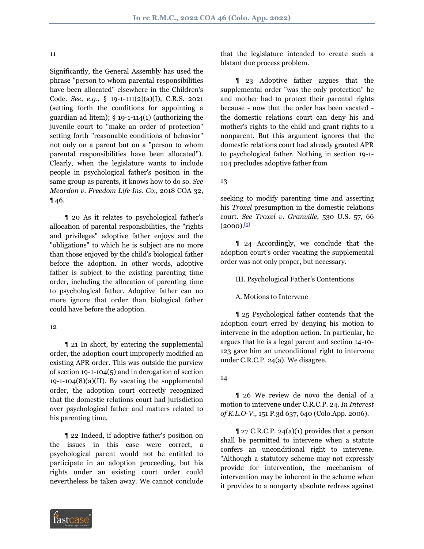#### 11

Significantly, the General Assembly has used the phrase "person to whom parental responsibilities have been allocated" elsewhere in the Children's Code. *See, e.g.*, § 19-1-111(2)(a)(I), C.R.S. 2021 (setting forth the conditions for appointing a guardian ad litem);  $\S$  19-1-114(1) (authorizing the juvenile court to "make an order of protection" setting forth "reasonable conditions of behavior" not only on a parent but on a "person to whom parental responsibilities have been allocated"). Clearly, when the legislature wants to include people in psychological father's position in the same group as parents, it knows how to do so. *See Meardon v. Freedom Life Ins. Co.*, 2018 COA 32, ¶ 46.

 ¶ 20 As it relates to psychological father's allocation of parental responsibilities, the "rights and privileges" adoptive father enjoys and the "obligations" to which he is subject are no more than those enjoyed by the child's biological father before the adoption. In other words, adoptive father is subject to the existing parenting time order, including the allocation of parenting time to psychological father. Adoptive father can no more ignore that order than biological father could have before the adoption.

#### 12

 ¶ 21 In short, by entering the supplemental order, the adoption court improperly modified an existing APR order. This was outside the purview of section 19-1-104(5) and in derogation of section  $19-1-104(8)(a)(II)$ . By vacating the supplemental order, the adoption court correctly recognized that the domestic relations court had jurisdiction over psychological father and matters related to his parenting time.

 ¶ 22 Indeed, if adoptive father's position on the issues in this case were correct, a psychological parent would not be entitled to participate in an adoption proceeding, but his rights under an existing court order could nevertheless be taken away. We cannot conclude



that the legislature intended to create such a blatant due process problem.

 ¶ 23 Adoptive father argues that the supplemental order "was the only protection" he and mother had to protect their parental rights because - now that the order has been vacated the domestic relations court can deny his and mother's rights to the child and grant rights to a nonparent. But this argument ignores that the domestic relations court had already granted APR to psychological father. Nothing in section 19-1- 104 precludes adoptive father from

13

seeking to modify parenting time and asserting his *Troxel* presumption in the domestic relations court. *See Troxel v. Granville*, 530 U.S. 57, 66  $(2000).$ [\[5\]](#page-6-3)

<span id="page-3-0"></span> ¶ 24 Accordingly, we conclude that the adoption court's order vacating the supplemental order was not only proper, but necessary.

III. Psychological Father's Contentions

A. Motions to Intervene

 ¶ 25 Psychological father contends that the adoption court erred by denying his motion to intervene in the adoption action. In particular, he argues that he is a legal parent and section 14-10- 123 gave him an unconditional right to intervene under C.R.C.P. 24(a). We disagree.

## 14

 ¶ 26 We review de novo the denial of a motion to intervene under C.R.C.P. 24. *In Interest of K.L.O-V.*, 151 P.3d 637, 640 (Colo.App. 2006).

 $\parallel$  27 C.R.C.P. 24(a)(1) provides that a person shall be permitted to intervene when a statute confers an unconditional right to intervene. "Although a statutory scheme may not expressly provide for intervention, the mechanism of intervention may be inherent in the scheme when it provides to a nonparty absolute redress against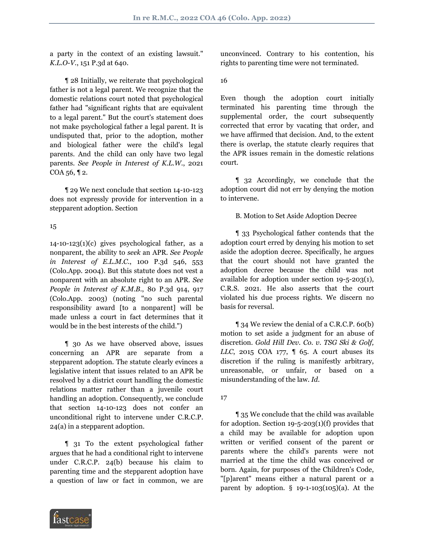a party in the context of an existing lawsuit." *K.L.O-V.*, 151 P.3d at 640.

 ¶ 28 Initially, we reiterate that psychological father is not a legal parent. We recognize that the domestic relations court noted that psychological father had "significant rights that are equivalent to a legal parent." But the court's statement does not make psychological father a legal parent. It is undisputed that, prior to the adoption, mother and biological father were the child's legal parents. And the child can only have two legal parents. *See People in Interest of K.L.W.*, 2021  $COA_56$ , 12.

 ¶ 29 We next conclude that section 14-10-123 does not expressly provide for intervention in a stepparent adoption. Section

## 15

 $14$ -10-123(1)(c) gives psychological father, as a nonparent, the ability to *seek* an APR. *See People in Interest of E.L.M.C.*, 100 P.3d 546, 553 (Colo.App. 2004). But this statute does not vest a nonparent with an absolute right to an APR. *See People in Interest of K.M.B.*, 80 P.3d 914, 917 (Colo.App. 2003) (noting "no such parental responsibility award [to a nonparent] will be made unless a court in fact determines that it would be in the best interests of the child.")

 ¶ 30 As we have observed above, issues concerning an APR are separate from a stepparent adoption. The statute clearly evinces a legislative intent that issues related to an APR be resolved by a district court handling the domestic relations matter rather than a juvenile court handling an adoption. Consequently, we conclude that section 14-10-123 does not confer an unconditional right to intervene under C.R.C.P. 24(a) in a stepparent adoption.

 ¶ 31 To the extent psychological father argues that he had a conditional right to intervene under C.R.C.P. 24(b) because his claim to parenting time and the stepparent adoption have a question of law or fact in common, we are



unconvinced. Contrary to his contention, his rights to parenting time were not terminated.

16

Even though the adoption court initially terminated his parenting time through the supplemental order, the court subsequently corrected that error by vacating that order, and we have affirmed that decision. And, to the extent there is overlap, the statute clearly requires that the APR issues remain in the domestic relations court.

 ¶ 32 Accordingly, we conclude that the adoption court did not err by denying the motion to intervene.

## B. Motion to Set Aside Adoption Decree

 ¶ 33 Psychological father contends that the adoption court erred by denying his motion to set aside the adoption decree. Specifically, he argues that the court should not have granted the adoption decree because the child was not available for adoption under section 19-5-203(1), C.R.S. 2021. He also asserts that the court violated his due process rights. We discern no basis for reversal.

 ¶ 34 We review the denial of a C.R.C.P. 60(b) motion to set aside a judgment for an abuse of discretion. *Gold Hill Dev. Co. v. TSG Ski & Golf, LLC*, 2015 COA 177, 1 65. A court abuses its discretion if the ruling is manifestly arbitrary, unreasonable, or unfair, or based on a misunderstanding of the law. *Id.*

 ¶ 35 We conclude that the child was available for adoption. Section  $19-5-203(1)(f)$  provides that a child may be available for adoption upon written or verified consent of the parent or parents where the child's parents were not married at the time the child was conceived or born. Again, for purposes of the Children's Code, "[p]arent" means either a natural parent or a parent by adoption.  $\S$  19-1-103(105)(a). At the

<sup>17</sup>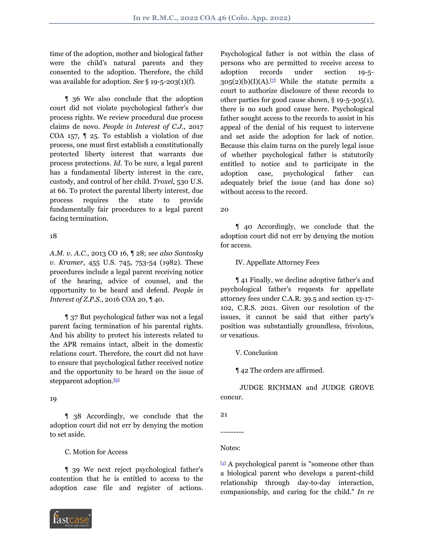time of the adoption, mother and biological father were the child's natural parents and they consented to the adoption. Therefore, the child was available for adoption. *See* § 19-5-203(1)(f).

 ¶ 36 We also conclude that the adoption court did not violate psychological father's due process rights. We review procedural due process claims de novo. *People in Interest of C.J.*, 2017 COA 157, ¶ 25. To establish a violation of due process, one must first establish a constitutionally protected liberty interest that warrants due process protections. *Id.* To be sure, a legal parent has a fundamental liberty interest in the care, custody, and control of her child. *Troxel*, 530 U.S. at 66. To protect the parental liberty interest, due process requires the state to provide fundamentally fair procedures to a legal parent facing termination.

## 18

*A.M. v. A.C.*, 2013 CO 16, ¶ 28; *see also Santosky v. Kramer*, 455 U.S. 745, 753-54 (1982). These procedures include a legal parent receiving notice of the hearing, advice of counsel, and the opportunity to be heard and defend. *People in Interest of Z.P.S.*, 2016 COA 20, ¶ 40.

 ¶ 37 But psychological father was not a legal parent facing termination of his parental rights. And his ability to protect his interests related to the APR remains intact, albeit in the domestic relations court. Therefore, the court did not have to ensure that psychological father received notice and the opportunity to be heard on the issue of stepparent adoption.<sup>[\[6](#page-6-4)]</sup>

## <span id="page-5-1"></span>19

 ¶ 38 Accordingly, we conclude that the adoption court did not err by denying the motion to set aside.

## C. Motion for Access

 ¶ 39 We next reject psychological father's contention that he is entitled to access to the adoption case file and register of actions.



<span id="page-5-2"></span>Psychological father is not within the class of persons who are permitted to receive access to adoption records under section 19-5-  $305(2)(b)(I)(A).$ [*z*] While the statute permits a court to authorize disclosure of these records to other parties for good cause shown, § 19-5-305(1), there is no such good cause here. Psychological father sought access to the records to assist in his appeal of the denial of his request to intervene and set aside the adoption for lack of notice. Because this claim turns on the purely legal issue of whether psychological father is statutorily entitled to notice and to participate in the adoption case, psychological father can adequately brief the issue (and has done so) without access to the record.

20

 ¶ 40 Accordingly, we conclude that the adoption court did not err by denying the motion for access.

IV. Appellate Attorney Fees

 ¶ 41 Finally, we decline adoptive father's and psychological father's requests for appellate attorney fees under C.A.R. 39.5 and section 13-17- 102, C.R.S. 2021. Given our resolution of the issues, it cannot be said that either party's position was substantially groundless, frivolous, or vexatious.

V. Conclusion

¶ 42 The orders are affirmed.

 JUDGE RICHMAN and JUDGE GROVE concur.

21

Notes:

---------

<span id="page-5-0"></span> $[1]$  $[1]$  A psychological parent is "someone other than a biological parent who develops a parent-child relationship through day-to-day interaction, companionship, and caring for the child." *In re*